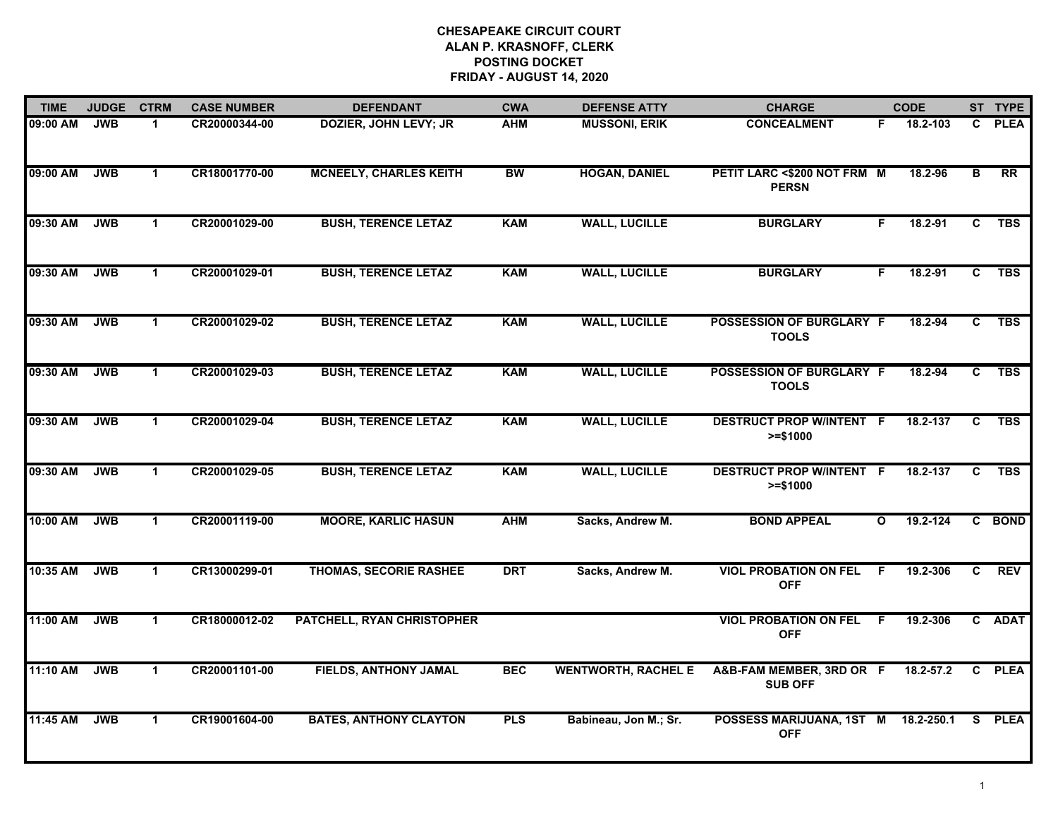## **CHESAPEAKE CIRCUIT COURT ALAN P. KRASNOFF, CLERK POSTING DOCKET FRIDAY - AUGUST 14, 2020**

| <b>TIME</b> | <b>JUDGE</b> | <b>CTRM</b>  | <b>CASE NUMBER</b> | <b>DEFENDANT</b>              | <b>CWA</b> | <b>DEFENSE ATTY</b>        | <b>CHARGE</b>                                     |              | <b>CODE</b> |                         | ST TYPE         |
|-------------|--------------|--------------|--------------------|-------------------------------|------------|----------------------------|---------------------------------------------------|--------------|-------------|-------------------------|-----------------|
| 09:00 AM    | <b>JWB</b>   | 1.           | CR20000344-00      | <b>DOZIER, JOHN LEVY; JR</b>  | <b>AHM</b> | <b>MUSSONI, ERIK</b>       | <b>CONCEALMENT</b>                                | F.           | 18.2-103    | C.                      | <b>PLEA</b>     |
| 09:00 AM    | <b>JWB</b>   | $\mathbf 1$  | CR18001770-00      | <b>MCNEELY, CHARLES KEITH</b> | <b>BW</b>  | <b>HOGAN, DANIEL</b>       | PETIT LARC <\$200 NOT FRM M<br><b>PERSN</b>       |              | 18.2-96     | $\overline{\mathbf{B}}$ | $\overline{RR}$ |
| 09:30 AM    | <b>JWB</b>   | $\mathbf{1}$ | CR20001029-00      | <b>BUSH, TERENCE LETAZ</b>    | <b>KAM</b> | <b>WALL, LUCILLE</b>       | <b>BURGLARY</b>                                   | F            | 18.2-91     | C                       | <b>TBS</b>      |
| 09:30 AM    | <b>JWB</b>   | 1            | CR20001029-01      | <b>BUSH, TERENCE LETAZ</b>    | <b>KAM</b> | <b>WALL, LUCILLE</b>       | <b>BURGLARY</b>                                   | F            | 18.2-91     | C                       | <b>TBS</b>      |
| 09:30 AM    | <b>JWB</b>   | $\mathbf 1$  | CR20001029-02      | <b>BUSH, TERENCE LETAZ</b>    | <b>KAM</b> | <b>WALL, LUCILLE</b>       | POSSESSION OF BURGLARY F<br><b>TOOLS</b>          |              | 18.2-94     | C                       | <b>TBS</b>      |
| 09:30 AM    | <b>JWB</b>   | $\mathbf 1$  | CR20001029-03      | <b>BUSH, TERENCE LETAZ</b>    | <b>KAM</b> | <b>WALL, LUCILLE</b>       | <b>POSSESSION OF BURGLARY F</b><br><b>TOOLS</b>   |              | 18.2-94     | C                       | <b>TBS</b>      |
| 09:30 AM    | <b>JWB</b>   | $\mathbf 1$  | CR20001029-04      | <b>BUSH, TERENCE LETAZ</b>    | <b>KAM</b> | <b>WALL, LUCILLE</b>       | <b>DESTRUCT PROP W/INTENT F</b><br>$>= $1000$     |              | 18.2-137    | C                       | <b>TBS</b>      |
| 09:30 AM    | <b>JWB</b>   | $\mathbf 1$  | CR20001029-05      | <b>BUSH, TERENCE LETAZ</b>    | <b>KAM</b> | <b>WALL, LUCILLE</b>       | <b>DESTRUCT PROP W/INTENT F</b><br>$>= $1000$     |              | 18.2-137    | C.                      | <b>TBS</b>      |
| 10:00 AM    | <b>JWB</b>   | $\mathbf 1$  | CR20001119-00      | <b>MOORE, KARLIC HASUN</b>    | <b>AHM</b> | Sacks, Andrew M.           | <b>BOND APPEAL</b>                                | $\mathbf{o}$ | 19.2-124    |                         | C BOND          |
| 10:35 AM    | <b>JWB</b>   | $\mathbf 1$  | CR13000299-01      | <b>THOMAS, SECORIE RASHEE</b> | <b>DRT</b> | Sacks, Andrew M.           | <b>VIOL PROBATION ON FEL</b><br><b>OFF</b>        | -F           | 19.2-306    | C.                      | <b>REV</b>      |
| 11:00 AM    | <b>JWB</b>   | $\mathbf 1$  | CR18000012-02      | PATCHELL, RYAN CHRISTOPHER    |            |                            | <b>VIOL PROBATION ON FEL</b><br><b>OFF</b>        | - F          | 19.2-306    |                         | C ADAT          |
| 11:10 AM    | <b>JWB</b>   | $\mathbf 1$  | CR20001101-00      | <b>FIELDS, ANTHONY JAMAL</b>  | <b>BEC</b> | <b>WENTWORTH, RACHEL E</b> | A&B-FAM MEMBER, 3RD OR F<br><b>SUB OFF</b>        |              | 18.2-57.2   | $\mathbf{c}$            | <b>PLEA</b>     |
| 11:45 AM    | <b>JWB</b>   | $\mathbf 1$  | CR19001604-00      | <b>BATES, ANTHONY CLAYTON</b> | <b>PLS</b> | Babineau, Jon M.; Sr.      | POSSESS MARIJUANA, 1ST M 18.2-250.1<br><b>OFF</b> |              |             |                         | S PLEA          |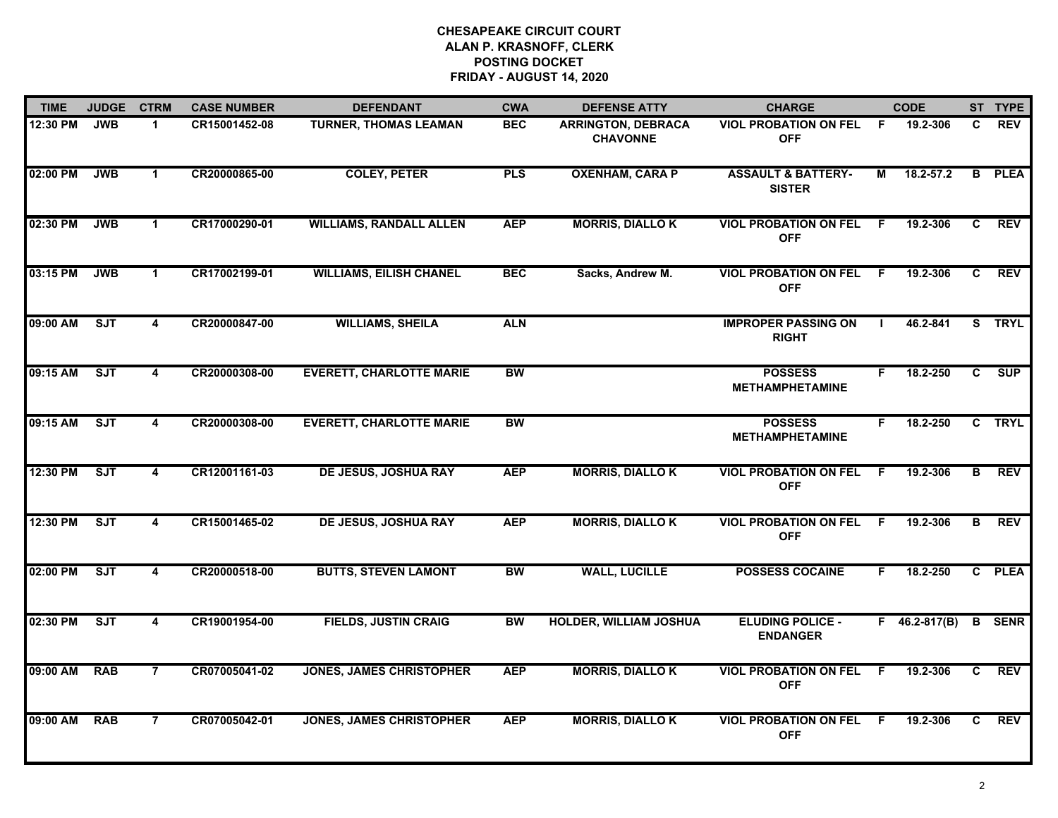## **CHESAPEAKE CIRCUIT COURT ALAN P. KRASNOFF, CLERK POSTING DOCKET FRIDAY - AUGUST 14, 2020**

| <b>TIME</b> | <b>JUDGE</b> | <b>CTRM</b>             | <b>CASE NUMBER</b> | <b>DEFENDANT</b>                | <b>CWA</b> | <b>CHARGE</b><br><b>DEFENSE ATTY</b>         |                                                | <b>CODE</b> |                     |                | ST TYPE       |
|-------------|--------------|-------------------------|--------------------|---------------------------------|------------|----------------------------------------------|------------------------------------------------|-------------|---------------------|----------------|---------------|
| 12:30 PM    | <b>JWB</b>   | $\mathbf{1}$            | CR15001452-08      | <b>TURNER, THOMAS LEAMAN</b>    | <b>BEC</b> | <b>ARRINGTON, DEBRACA</b><br><b>CHAVONNE</b> | <b>VIOL PROBATION ON FEL</b><br><b>OFF</b>     | F.          | 19.2-306            | C.             | <b>REV</b>    |
| 02:00 PM    | <b>JWB</b>   | $\mathbf 1$             | CR20000865-00      | <b>COLEY, PETER</b>             | <b>PLS</b> | <b>OXENHAM, CARA P</b>                       | <b>ASSAULT &amp; BATTERY-</b><br><b>SISTER</b> | М           | 18.2-57.2           |                | <b>B</b> PLEA |
| 02:30 PM    | <b>JWB</b>   | $\mathbf{1}$            | CR17000290-01      | <b>WILLIAMS, RANDALL ALLEN</b>  | <b>AEP</b> | <b>MORRIS, DIALLOK</b>                       | <b>VIOL PROBATION ON FEL</b><br><b>OFF</b>     | -F.         | 19.2-306            | C.             | <b>REV</b>    |
| 03:15 PM    | <b>JWB</b>   | $\blacktriangleleft$    | CR17002199-01      | <b>WILLIAMS, EILISH CHANEL</b>  | <b>BEC</b> | Sacks, Andrew M.                             | <b>VIOL PROBATION ON FEL</b><br><b>OFF</b>     | F.          | 19.2-306            | C.             | <b>REV</b>    |
| 09:00 AM    | ST           | 4                       | CR20000847-00      | <b>WILLIAMS, SHEILA</b>         | <b>ALN</b> |                                              | <b>IMPROPER PASSING ON</b><br><b>RIGHT</b>     |             | 46.2-841            |                | S TRYL        |
| 09:15 AM    | ST           | 4                       | CR20000308-00      | <b>EVERETT, CHARLOTTE MARIE</b> | <b>BW</b>  |                                              | <b>POSSESS</b><br><b>METHAMPHETAMINE</b>       | F.          | 18.2-250            | $\overline{c}$ | SUP           |
| 09:15 AM    | ST           | 4                       | CR20000308-00      | <b>EVERETT, CHARLOTTE MARIE</b> | <b>BW</b>  |                                              | <b>POSSESS</b><br><b>METHAMPHETAMINE</b>       | F.          | 18.2-250            | $\overline{c}$ | <b>TRYL</b>   |
| 12:30 PM    | ST           | 4                       | CR12001161-03      | DE JESUS, JOSHUA RAY            | <b>AEP</b> | <b>MORRIS, DIALLOK</b>                       | <b>VIOL PROBATION ON FEL</b><br><b>OFF</b>     | F.          | 19.2-306            | в              | <b>REV</b>    |
| 12:30 PM    | <b>SJT</b>   | 4                       | CR15001465-02      | <b>DE JESUS, JOSHUA RAY</b>     | <b>AEP</b> | <b>MORRIS, DIALLOK</b>                       | <b>VIOL PROBATION ON FEL</b><br><b>OFF</b>     | -F          | 19.2-306            | B              | <b>REV</b>    |
| 02:00 PM    | SJT          | $\overline{\mathbf{4}}$ | CR20000518-00      | <b>BUTTS, STEVEN LAMONT</b>     | <b>BW</b>  | <b>WALL, LUCILLE</b>                         | <b>POSSESS COCAINE</b>                         | F.          | 18.2-250            |                | C PLEA        |
| 02:30 PM    | ST           | $\overline{\mathbf{4}}$ | CR19001954-00      | <b>FIELDS, JUSTIN CRAIG</b>     | <b>BW</b>  | <b>HOLDER, WILLIAM JOSHUA</b>                | <b>ELUDING POLICE -</b><br><b>ENDANGER</b>     |             | $F = 46.2 - 817(B)$ |                | <b>B</b> SENR |
| 09:00 AM    | <b>RAB</b>   | $\overline{7}$          | CR07005041-02      | <b>JONES, JAMES CHRISTOPHER</b> | <b>AEP</b> | <b>MORRIS, DIALLOK</b>                       | <b>VIOL PROBATION ON FEL</b><br><b>OFF</b>     | F.          | 19.2-306            | $\overline{c}$ | <b>REV</b>    |
| 09:00 AM    | <b>RAB</b>   | $\overline{7}$          | CR07005042-01      | <b>JONES, JAMES CHRISTOPHER</b> | <b>AEP</b> | <b>MORRIS, DIALLOK</b>                       | <b>VIOL PROBATION ON FEL</b><br><b>OFF</b>     | F.          | 19.2-306            | C.             | <b>REV</b>    |